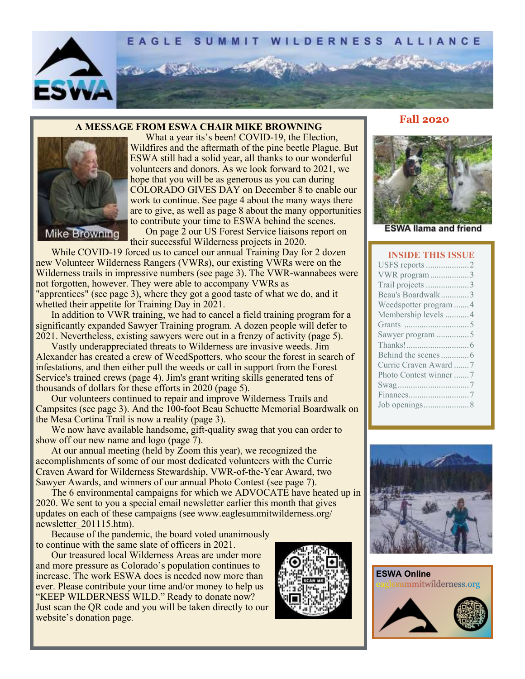

#### **A MESSAGE FROM ESWA CHAIR MIKE BROWNING**



What a year its's been! COVID-19, the Election, Wildfires and the aftermath of the pine beetle Plague. But ESWA still had a solid year, all thanks to our wonderful volunteers and donors. As we look forward to 2021, we hope that you will be as generous as you can during COLORADO GIVES DAY on December 8 to enable our work to continue. See page 4 about the many ways there are to give, as well as page 8 about the many opportunities to contribute your time to ESWA behind the scenes.

On page 2 our US Forest Service liaisons report on their successful Wilderness projects in 2020.

While COVID-19 forced us to cancel our annual Training Day for 2 dozen new Volunteer Wilderness Rangers (VWRs), our existing VWRs were on the Wilderness trails in impressive numbers (see page 3). The VWR-wannabees were not forgotten, however. They were able to accompany VWRs as "apprentices" (see page 3), where they got a good taste of what we do, and it whetted their appetite for Training Day in 2021.

In addition to VWR training, we had to cancel a field training program for a significantly expanded Sawyer Training program. A dozen people will defer to 2021. Nevertheless, existing sawyers were out in a frenzy of activity (page 5).

Vastly underappreciated threats to Wilderness are invasive weeds. Jim Alexander has created a crew of WeedSpotters, who scour the forest in search of infestations, and then either pull the weeds or call in support from the Forest Service's trained crews (page 4). Jim's grant writing skills generated tens of thousands of dollars for these efforts in 2020 (page 5).

Our volunteers continued to repair and improve Wilderness Trails and Campsites (see page 3). And the 100-foot Beau Schuette Memorial Boardwalk on the Mesa Cortina Trail is now a reality (page 3).

We now have available handsome, gift-quality swag that you can order to show off our new name and logo (page 7).

At our annual meeting (held by Zoom this year), we recognized the accomplishments of some of our most dedicated volunteers with the Currie Craven Award for Wilderness Stewardship, VWR-of-the-Year Award, two Sawyer Awards, and winners of our annual Photo Contest (see page 7).

The 6 environmental campaigns for which we ADVOCATE have heated up in 2020. We sent to you a special email newsletter earlier this month that gives updates on each of these campaigns (see www.eaglesummitwilderness.org/ newsletter 201115.htm).

Because of the pandemic, the board voted unanimously to continue with the same slate of officers in 2021.

Our treasured local Wilderness Areas are under more and more pressure as Colorado's population continues to increase. The work ESWA does is needed now more than ever. Please contribute your time and/or money to help us "KEEP WILDERNESS WILD." Ready to donate now? Just scan the QR code and you will be taken directly to our website's donation page.



#### **Fall 2020**



**ESWA llama and friend** 

#### **INSIDE THIS ISSUE**

| VWR program 3         |
|-----------------------|
| Trail projects 3      |
| Beau's Boardwalk3     |
| Weedspotter program 4 |
| Membership levels 4   |
|                       |
| Sawyer program 5      |
|                       |
|                       |
| Currie Craven Award 7 |
| Photo Contest winner7 |
|                       |
|                       |
|                       |
|                       |



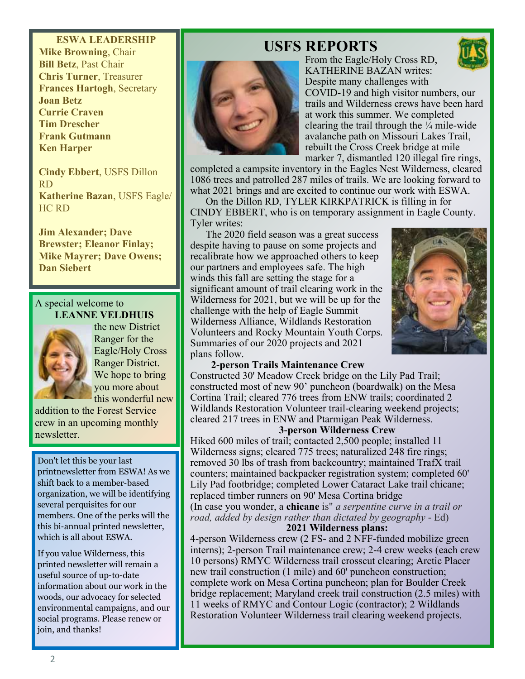## **ESWA LEADERSHIP Mike Browning**, Chair **Bill Betz**, Past Chair **Chris Turner**, Treasurer **Frances Hartogh**, Secretary **Joan Betz Currie Craven Tim Drescher Frank Gutmann Ken Harper**

**Cindy Ebbert**, USFS Dillon RD **Katherine Bazan**, USFS Eagle/ HC RD

**Jim Alexander; Dave Brewster; Eleanor Finlay; Mike Mayrer; Dave Owens; Dan Siebert**

#### A special welcome to **LEANNE VELDHUIS**



the new District Ranger for the Eagle/Holy Cross Ranger District. We hope to bring you more about this wonderful new

addition to the Forest Service crew in an upcoming monthly newsletter.

Don't let this be your last printnewsletter from ESWA! As we shift back to a member-based organization, we will be identifying several perquisites for our members. One of the perks will the this bi-annual printed newsletter, which is all about ESWA.

If you value Wilderness, this printed newsletter will remain a useful source of up-to-date information about our work in the woods, our advocacy for selected environmental campaigns, and our social programs. Please renew or join, and thanks!

# **USFS REPORTS**



From the Eagle/Holy Cross RD, KATHERINE BAZAN writes: Despite many challenges with COVID-19 and high visitor numbers, our trails and Wilderness crews have been hard at work this summer. We completed clearing the trail through the  $\frac{1}{4}$  mile-wide avalanche path on Missouri Lakes Trail, rebuilt the Cross Creek bridge at mile marker 7, dismantled 120 illegal fire rings,

completed a campsite inventory in the Eagles Nest Wilderness, cleared 1086 trees and patrolled 287 miles of trails. We are looking forward to what 2021 brings and are excited to continue our work with ESWA.

On the Dillon RD, TYLER KIRKPATRICK is filling in for CINDY EBBERT, who is on temporary assignment in Eagle County. Tyler writes:

The 2020 field season was a great success despite having to pause on some projects and recalibrate how we approached others to keep our partners and employees safe. The high winds this fall are setting the stage for a significant amount of trail clearing work in the Wilderness for 2021, but we will be up for the challenge with the help of Eagle Summit Wilderness Alliance, Wildlands Restoration Volunteers and Rocky Mountain Youth Corps. Summaries of our 2020 projects and 2021 plans follow.



#### **2-person Trails Maintenance Crew**

Constructed 30' Meadow Creek bridge on the Lily Pad Trail; constructed most of new 90' puncheon (boardwalk) on the Mesa Cortina Trail; cleared 776 trees from ENW trails; coordinated 2 Wildlands Restoration Volunteer trail-clearing weekend projects; cleared 217 trees in ENW and Ptarmigan Peak Wilderness.

#### **3-person Wilderness Crew**

Hiked 600 miles of trail; contacted 2,500 people; installed 11 Wilderness signs; cleared 775 trees; naturalized 248 fire rings; removed 30 lbs of trash from backcountry; maintained TrafX trail counters; maintained backpacker registration system; completed 60' Lily Pad footbridge; completed Lower Cataract Lake trail chicane; replaced timber runners on 90' Mesa Cortina bridge

(In case you wonder, a **chicane** is" *a serpentine curve in a trail or road, added by design rather than dictated by geography* - Ed) **2021 Wilderness plans:**

4-person Wilderness crew (2 FS- and 2 NFF-funded mobilize green interns); 2-person Trail maintenance crew; 2-4 crew weeks (each crew 10 persons) RMYC Wilderness trail crosscut clearing; Arctic Placer new trail construction (1 mile) and 60' puncheon construction; complete work on Mesa Cortina puncheon; plan for Boulder Creek bridge replacement; Maryland creek trail construction (2.5 miles) with 11 weeks of RMYC and Contour Logic (contractor); 2 Wildlands Restoration Volunteer Wilderness trail clearing weekend projects.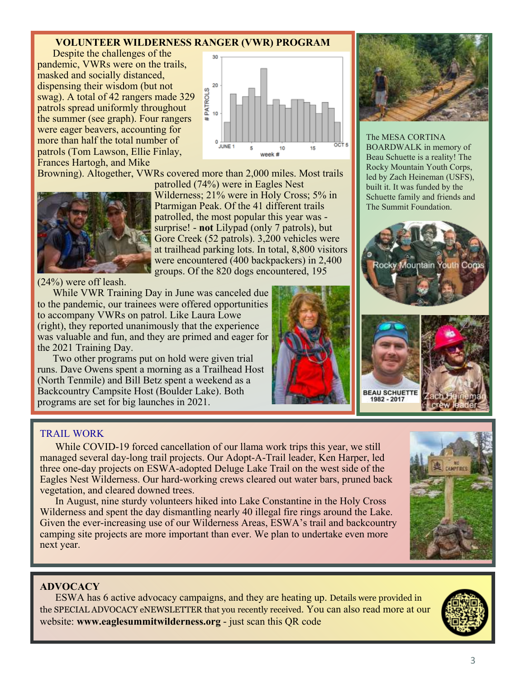# **VOLUNTEER WILDERNESS RANGER (VWR) PROGRAM**

Despite the challenges of the pandemic, VWRs were on the trails, masked and socially distanced, dispensing their wisdom (but not swag). A total of 42 rangers made 329 patrols spread uniformly throughout the summer (see graph). Four rangers were eager beavers, accounting for more than half the total number of patrols (Tom Lawson, Ellie Finlay, Frances Hartogh, and Mike



Browning). Altogether, VWRs covered more than 2,000 miles. Most trails



(24%) were off leash.

While VWR Training Day in June was canceled due to the pandemic, our trainees were offered opportunities to accompany VWRs on patrol. Like Laura Lowe (right), they reported unanimously that the experience was valuable and fun, and they are primed and eager for the 2021 Training Day.

Two other programs put on hold were given trial runs. Dave Owens spent a morning as a Trailhead Host (North Tenmile) and Bill Betz spent a weekend as a Backcountry Campsite Host (Boulder Lake). Both programs are set for big launches in 2021.



The MESA CORTINA BOARDWALK in memory of Beau Schuette is a reality! The Rocky Mountain Youth Corps, led by Zach Heineman (USFS), built it. It was funded by the Schuette family and friends and The Summit Foundation.



#### TRAIL WORK

While COVID-19 forced cancellation of our llama work trips this year, we still managed several day-long trail projects. Our Adopt-A-Trail leader, Ken Harper, led three one-day projects on ESWA-adopted Deluge Lake Trail on the west side of the Eagles Nest Wilderness. Our hard-working crews cleared out water bars, pruned back vegetation, and cleared downed trees.

In August, nine sturdy volunteers hiked into Lake Constantine in the Holy Cross Wilderness and spent the day dismantling nearly 40 illegal fire rings around the Lake. Given the ever-increasing use of our Wilderness Areas, ESWA's trail and backcountry camping site projects are more important than ever. We plan to undertake even more next year.

#### **ADVOCACY**

ESWA has 6 active advocacy campaigns, and they are heating up. Details were provided in the SPECIAL ADVOCACY eNEWSLETTER that you recently received. You can also read more at our website: **www.eaglesummitwilderness.org** - just scan this QR code



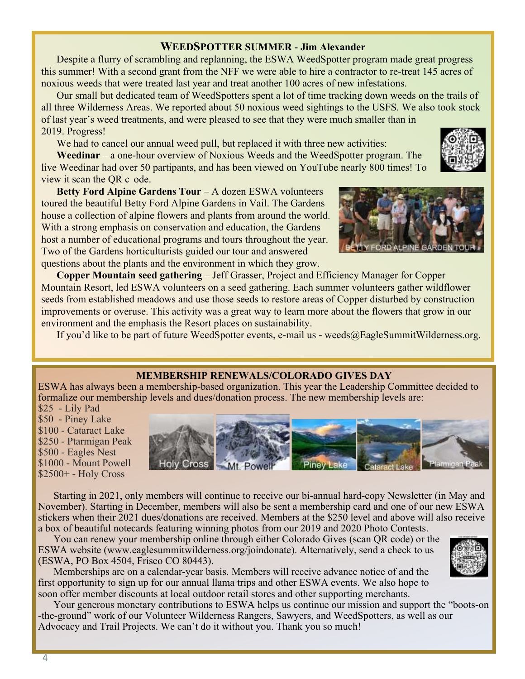## **WEEDSPOTTER SUMMER - Jim Alexander**

Despite a flurry of scrambling and replanning, the ESWA WeedSpotter program made great progress this summer! With a second grant from the NFF we were able to hire a contractor to re-treat 145 acres of noxious weeds that were treated last year and treat another 100 acres of new infestations.

Our small but dedicated team of WeedSpotters spent a lot of time tracking down weeds on the trails of all three Wilderness Areas. We reported about 50 noxious weed sightings to the USFS. We also took stock of last year's weed treatments, and were pleased to see that they were much smaller than in 2019. Progress!

We had to cancel our annual weed pull, but replaced it with three new activities:

**Weedinar** – a one-hour overview of Noxious Weeds and the WeedSpotter program. The live Weedinar had over 50 partipants, and has been viewed on YouTube nearly 800 times! To view it scan the QR c ode.



**Betty Ford Alpine Gardens Tour** – A dozen ESWA volunteers toured the beautiful Betty Ford Alpine Gardens in Vail. The Gardens house a collection of alpine flowers and plants from around the world. With a strong emphasis on conservation and education, the Gardens host a number of educational programs and tours throughout the year. Two of the Gardens horticulturists guided our tour and answered questions about the plants and the environment in which they grow.

**Copper Mountain seed gathering** – Jeff Grasser, Project and Efficiency Manager for Copper Mountain Resort, led ESWA volunteers on a seed gathering. Each summer volunteers gather wildflower seeds from established meadows and use those seeds to restore areas of Copper disturbed by construction improvements or overuse. This activity was a great way to learn more about the flowers that grow in our environment and the emphasis the Resort places on sustainability.

If you'd like to be part of future WeedSpotter events, e-mail us - weeds@EagleSummitWilderness.org.

### **MEMBERSHIP RENEWALS/COLORADO GIVES DAY**

ESWA has always been a membership-based organization. This year the Leadership Committee decided to formalize our membership levels and dues/donation process. The new membership levels are:

\$25 - Lily Pad \$50 - Piney Lake \$100 - Cataract Lake \$250 - Ptarmigan Peak \$500 - Eagles Nest \$1000 - Mount Powell \$2500+ - Holy Cross



Starting in 2021, only members will continue to receive our bi-annual hard-copy Newsletter (in May and November). Starting in December, members will also be sent a membership card and one of our new ESWA stickers when their 2021 dues/donations are received. Members at the \$250 level and above will also receive a box of beautiful notecards featuring winning photos from our 2019 and 2020 Photo Contests.

You can renew your membership online through either Colorado Gives (scan QR code) or the ESWA website (www.eaglesummitwilderness.org/joindonate). Alternatively, send a check to us (ESWA, PO Box 4504, Frisco CO 80443).

Memberships are on a calendar-year basis. Members will receive advance notice of and the first opportunity to sign up for our annual llama trips and other ESWA events. We also hope to soon offer member discounts at local outdoor retail stores and other supporting merchants.

Your generous monetary contributions to ESWA helps us continue our mission and support the "boots-on -the-ground" work of our Volunteer Wilderness Rangers, Sawyers, and WeedSpotters, as well as our Advocacy and Trail Projects. We can't do it without you. Thank you so much!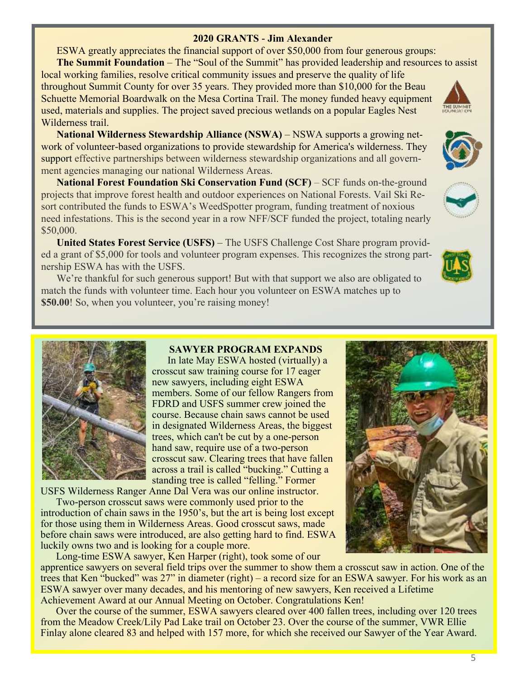### **2020 GRANTS - Jim Alexander**

ESWA greatly appreciates the financial support of over \$50,000 from four generous groups:

**The Summit Foundation** – The "Soul of the Summit" has provided leadership and resources to assist

local working families, resolve critical community issues and preserve the quality of life throughout Summit County for over 35 years. They provided more than \$10,000 for the Beau Schuette Memorial Boardwalk on the Mesa Cortina Trail. The money funded heavy equipment used, materials and supplies. The project saved precious wetlands on a popular Eagles Nest Wilderness trail.

**National Wilderness Stewardship Alliance (NSWA)** – NSWA supports a growing network of volunteer-based organizations to provide stewardship for America's wilderness. They support effective partnerships between wilderness stewardship organizations and all government agencies managing our national Wilderness Areas.

**National Forest Foundation Ski Conservation Fund (SCF)** – SCF funds on-the-ground projects that improve forest health and outdoor experiences on National Forests. Vail Ski Resort contributed the funds to ESWA's WeedSpotter program, funding treatment of noxious need infestations. This is the second year in a row NFF/SCF funded the project, totaling nearly \$50,000.

**United States Forest Service (USFS)** – The USFS Challenge Cost Share program provided a grant of \$5,000 for tools and volunteer program expenses. This recognizes the strong partnership ESWA has with the USFS.

We're thankful for such generous support! But with that support we also are obligated to match the funds with volunteer time. Each hour you volunteer on ESWA matches up to **\$50.00!** So, when you volunteer, you're raising money!



In late May ESWA hosted (virtually) a crosscut saw training course for 17 eager new sawyers, including eight ESWA members. Some of our fellow Rangers from FDRD and USFS summer crew joined the course. Because chain saws cannot be used in designated Wilderness Areas, the biggest trees, which can't be cut by a one-person hand saw, require use of a two-person crosscut saw. Clearing trees that have fallen across a trail is called "bucking." Cutting a standing tree is called "felling." Former

USFS Wilderness Ranger Anne Dal Vera was our online instructor.

Two-person crosscut saws were commonly used prior to the introduction of chain saws in the 1950's, but the art is being lost except for those using them in Wilderness Areas. Good crosscut saws, made before chain saws were introduced, are also getting hard to find. ESWA luckily owns two and is looking for a couple more.

Long-time ESWA sawyer, Ken Harper (right), took some of our apprentice sawyers on several field trips over the summer to show them a crosscut saw in action. One of the trees that Ken "bucked" was 27" in diameter (right) – a record size for an ESWA sawyer. For his work as an ESWA sawyer over many decades, and his mentoring of new sawyers, Ken received a Lifetime Achievement Award at our Annual Meeting on October. Congratulations Ken!

Over the course of the summer, ESWA sawyers cleared over 400 fallen trees, including over 120 trees from the Meadow Creek/Lily Pad Lake trail on October 23. Over the course of the summer, VWR Ellie Finlay alone cleared 83 and helped with 157 more, for which she received our Sawyer of the Year Award.







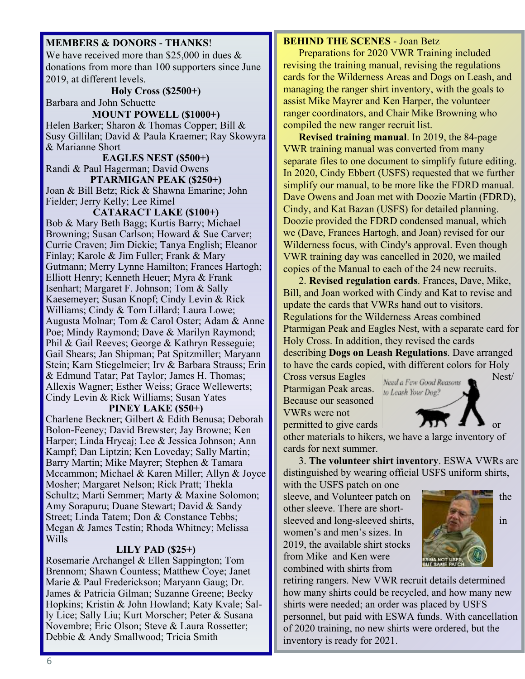#### **MEMBERS & DONORS - THANKS**!

We have received more than \$25,000 in dues  $\&$ donations from more than 100 supporters since June 2019, at different levels.

**Holy Cross (\$2500+)** Barbara and John Schuette

**MOUNT POWELL (\$1000+)** Helen Barker; Sharon & Thomas Copper; Bill & Susy Gillilan; David & Paula Kraemer; Ray Skowyra & Marianne Short

**EAGLES NEST (\$500+)** Randi & Paul Hagerman; David Owens **PTARMIGAN PEAK (\$250+)**

Joan & Bill Betz; Rick & Shawna Emarine; John Fielder; Jerry Kelly; Lee Rimel

**CATARACT LAKE (\$100+)** Bob & Mary Beth Bagg; Kurtis Barry; Michael Browning; Susan Carlson; Howard & Sue Carver; Currie Craven; Jim Dickie; Tanya English; Eleanor Finlay; Karole & Jim Fuller; Frank & Mary Gutmann; Merry Lynne Hamilton; Frances Hartogh; Elliott Henry; Kenneth Heuer; Myra & Frank Isenhart; Margaret F. Johnson; Tom & Sally Kaesemeyer; Susan Knopf; Cindy Levin & Rick Williams; Cindy & Tom Lillard; Laura Lowe; Augusta Molnar; Tom & Carol Oster; Adam & Anne Poe; Mindy Raymond; Dave & Marilyn Raymond; Phil & Gail Reeves; George & Kathryn Resseguie; Gail Shears; Jan Shipman; Pat Spitzmiller; Maryann Stein; Karn Stiegelmeier; Irv & Barbara Strauss; Erin & Edmund Tatar; Pat Taylor; James H. Thomas; Allexis Wagner; Esther Weiss; Grace Wellewerts; Cindy Levin & Rick Williams; Susan Yates

#### **PINEY LAKE (\$50+)**

Charlene Beckner; Gilbert & Edith Benusa; Deborah Bolon-Feeney; David Brewster; Jay Browne; Ken Harper; Linda Hrycaj; Lee & Jessica Johnson; Ann Kampf; Dan Liptzin; Ken Loveday; Sally Martin; Barry Martin; Mike Mayrer; Stephen & Tamara Mccammon; Michael & Karen Miller; Allyn & Joyce Mosher; Margaret Nelson; Rick Pratt; Thekla Schultz; Marti Semmer; Marty & Maxine Solomon; Amy Sorapuru; Duane Stewart; David & Sandy Street; Linda Tatem; Don & Constance Tebbs; Megan & James Testin; Rhoda Whitney; Melissa Wills

#### **LILY PAD (\$25+)**

Rosemarie Archangel & Ellen Sappington; Tom Brennom; Shawn Countess; Matthew Coye; Janet Marie & Paul Frederickson; Maryann Gaug; Dr. James & Patricia Gilman; Suzanne Greene; Becky Hopkins; Kristin & John Howland; Katy Kvale; Sally Lice; Sally Liu; Kurt Morscher; Peter & Susana Novembre; Eric Olson; Steve & Laura Rossetter; Debbie & Andy Smallwood; Tricia Smith

#### **BEHIND THE SCENES** - Joan Betz

Preparations for 2020 VWR Training included revising the training manual, revising the regulations cards for the Wilderness Areas and Dogs on Leash, and managing the ranger shirt inventory, with the goals to assist Mike Mayrer and Ken Harper, the volunteer ranger coordinators, and Chair Mike Browning who compiled the new ranger recruit list.

**Revised training manual**. In 2019, the 84-page VWR training manual was converted from many separate files to one document to simplify future editing. In 2020, Cindy Ebbert (USFS) requested that we further simplify our manual, to be more like the FDRD manual. Dave Owens and Joan met with Doozie Martin (FDRD), Cindy, and Kat Bazan (USFS) for detailed planning. Doozie provided the FDRD condensed manual, which we (Dave, Frances Hartogh, and Joan) revised for our Wilderness focus, with Cindy's approval. Even though VWR training day was cancelled in 2020, we mailed copies of the Manual to each of the 24 new recruits.

2. **Revised regulation cards**. Frances, Dave, Mike, Bill, and Joan worked with Cindy and Kat to revise and update the cards that VWRs hand out to visitors. Regulations for the Wilderness Areas combined Ptarmigan Peak and Eagles Nest, with a separate card for Holy Cross. In addition, they revised the cards describing **Dogs on Leash Regulations**. Dave arranged

to have the cards copied, with different colors for Holy

Cross versus Eagles Need a Few Good Reasons Nest/ Ptarmigan Peak areas. Because our seasoned VWRs were not



permitted to give cards  $\overline{y}$   $\overline{y}$   $\overline{y}$   $\overline{y}$   $\overline{y}$   $\overline{y}$  or other materials to hikers, we have a large inventory of cards for next summer.

3. **The volunteer shirt inventory**. ESWA VWRs are distinguished by wearing official USFS uniform shirts,

with the USFS patch on one sleeve, and Volunteer patch on other sleeve. There are shortsleeved and long-sleeved shirts, **in the state of the state of the state of the state of the state of the state of the state of the state of the state of the state of the state of the state of the state of the state of the** women's and men's sizes. In 2019, the available shirt stocks from Mike and Ken were combined with shirts from



retiring rangers. New VWR recruit details determined how many shirts could be recycled, and how many new shirts were needed; an order was placed by USFS personnel, but paid with ESWA funds. With cancellation of 2020 training, no new shirts were ordered, but the inventory is ready for 2021.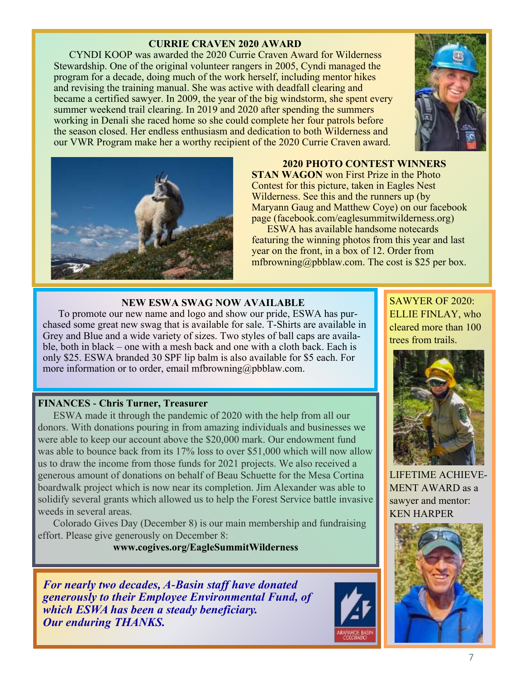# **CURRIE CRAVEN 2020 AWARD**

CYNDI KOOP was awarded the 2020 Currie Craven Award for Wilderness Stewardship. One of the original volunteer rangers in 2005, Cyndi managed the program for a decade, doing much of the work herself, including mentor hikes and revising the training manual. She was active with deadfall clearing and became a certified sawyer. In 2009, the year of the big windstorm, she spent every summer weekend trail clearing. In 2019 and 2020 after spending the summers working in Denali she raced home so she could complete her four patrols before the season closed. Her endless enthusiasm and dedication to both Wilderness and our VWR Program make her a worthy recipient of the 2020 Currie Craven award.





#### **2020 PHOTO CONTEST WINNERS**

**STAN WAGON** won First Prize in the Photo Contest for this picture, taken in Eagles Nest Wilderness. See this and the runners up (by Maryann Gaug and Matthew Coye) on our facebook page (facebook.com/eaglesummitwilderness.org)

ESWA has available handsome notecards featuring the winning photos from this year and last year on the front, in a box of 12. Order from mfbrowning@pbblaw.com. The cost is \$25 per box.

### **NEW ESWA SWAG NOW AVAILABLE**

To promote our new name and logo and show our pride, ESWA has purchased some great new swag that is available for sale. T-Shirts are available in Grey and Blue and a wide variety of sizes. Two styles of ball caps are available, both in black – one with a mesh back and one with a cloth back. Each is only \$25. ESWA branded 30 SPF lip balm is also available for \$5 each. For more information or to order, email mfbrowning@pbblaw.com.

### **FINANCES - Chris Turner, Treasurer**

ESWA made it through the pandemic of 2020 with the help from all our donors. With donations pouring in from amazing individuals and businesses we were able to keep our account above the \$20,000 mark. Our endowment fund was able to bounce back from its 17% loss to over \$51,000 which will now allow us to draw the income from those funds for 2021 projects. We also received a generous amount of donations on behalf of Beau Schuette for the Mesa Cortina boardwalk project which is now near its completion. Jim Alexander was able to solidify several grants which allowed us to help the Forest Service battle invasive weeds in several areas.

Colorado Gives Day (December 8) is our main membership and fundraising effort. Please give generously on December 8:

# **www.cogives.org/EagleSummitWilderness**

*For nearly two decades, A-Basin staff have donated generously to their Employee Environmental Fund, of which ESWA has been a steady beneficiary. Our enduring THANKS.*



SAWYER OF 2020: ELLIE FINLAY, who cleared more than 100 trees from trails.



LIFETIME ACHIEVE-MENT AWARD as a sawyer and mentor: KEN HARPER